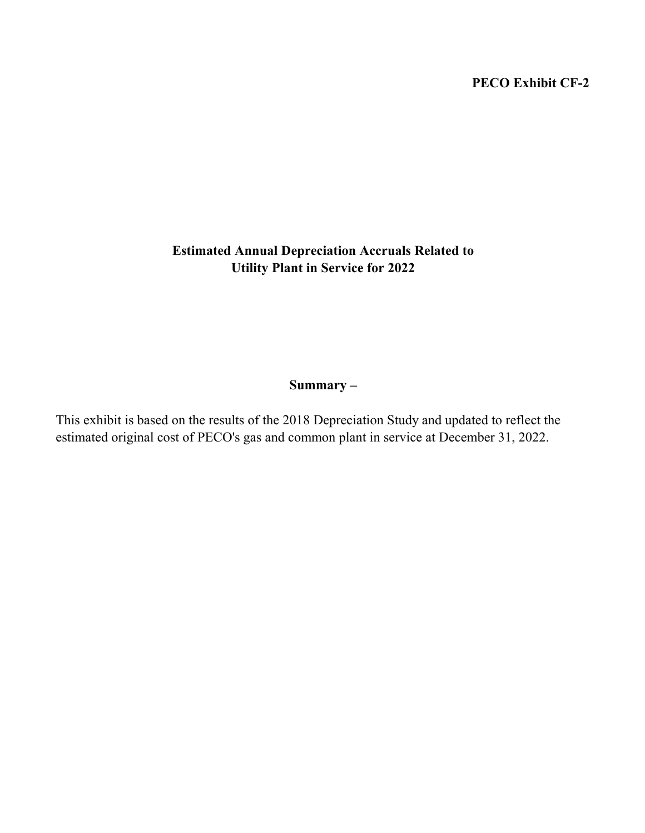## PECO Exhibit CF-2

# Estimated Annual Depreciation Accruals Related to Utility Plant in Service for 2022

## Summary –

This exhibit is based on the results of the 2018 Depreciation Study and updated to reflect the estimated original cost of PECO's gas and common plant in service at December 31, 2022.